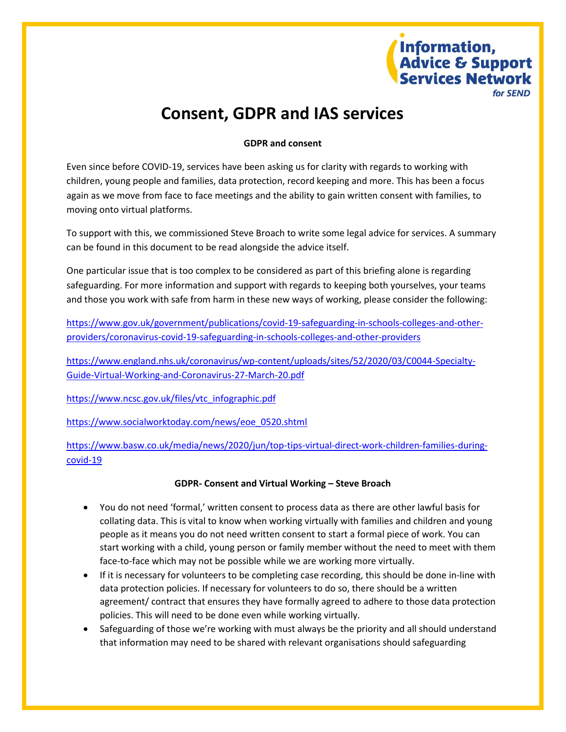

# **Consent, GDPR and IAS services**

#### **GDPR and consent**

Even since before COVID-19, services have been asking us for clarity with regards to working with children, young people and families, data protection, record keeping and more. This has been a focus again as we move from face to face meetings and the ability to gain written consent with families, to moving onto virtual platforms.

To support with this, we commissioned Steve Broach to write some legal advice for services. A summary can be found in this document to be read alongside the advice itself.

One particular issue that is too complex to be considered as part of this briefing alone is regarding safeguarding. For more information and support with regards to keeping both yourselves, your teams and those you work with safe from harm in these new ways of working, please consider the following:

[https://www.gov.uk/government/publications/covid-19-safeguarding-in-schools-colleges-and-other](https://www.gov.uk/government/publications/covid-19-safeguarding-in-schools-colleges-and-other-providers/coronavirus-covid-19-safeguarding-in-schools-colleges-and-other-providers)[providers/coronavirus-covid-19-safeguarding-in-schools-colleges-and-other-providers](https://www.gov.uk/government/publications/covid-19-safeguarding-in-schools-colleges-and-other-providers/coronavirus-covid-19-safeguarding-in-schools-colleges-and-other-providers)

[https://www.england.nhs.uk/coronavirus/wp-content/uploads/sites/52/2020/03/C0044-Specialty-](https://www.england.nhs.uk/coronavirus/wp-content/uploads/sites/52/2020/03/C0044-Specialty-Guide-Virtual-Working-and-Coronavirus-27-March-20.pdf)[Guide-Virtual-Working-and-Coronavirus-27-March-20.pdf](https://www.england.nhs.uk/coronavirus/wp-content/uploads/sites/52/2020/03/C0044-Specialty-Guide-Virtual-Working-and-Coronavirus-27-March-20.pdf)

[https://www.ncsc.gov.uk/files/vtc\\_infographic.pdf](https://www.ncsc.gov.uk/files/vtc_infographic.pdf)

[https://www.socialworktoday.com/news/eoe\\_0520.shtml](https://www.socialworktoday.com/news/eoe_0520.shtml)

[https://www.basw.co.uk/media/news/2020/jun/top-tips-virtual-direct-work-children-families-during](https://www.basw.co.uk/media/news/2020/jun/top-tips-virtual-direct-work-children-families-during-covid-19)[covid-19](https://www.basw.co.uk/media/news/2020/jun/top-tips-virtual-direct-work-children-families-during-covid-19)

#### **GDPR- Consent and Virtual Working – Steve Broach**

- You do not need 'formal,' written consent to process data as there are other lawful basis for collating data. This is vital to know when working virtually with families and children and young people as it means you do not need written consent to start a formal piece of work. You can start working with a child, young person or family member without the need to meet with them face-to-face which may not be possible while we are working more virtually.
- If it is necessary for volunteers to be completing case recording, this should be done in-line with data protection policies. If necessary for volunteers to do so, there should be a written agreement/ contract that ensures they have formally agreed to adhere to those data protection policies. This will need to be done even while working virtually.
- Safeguarding of those we're working with must always be the priority and all should understand that information may need to be shared with relevant organisations should safeguarding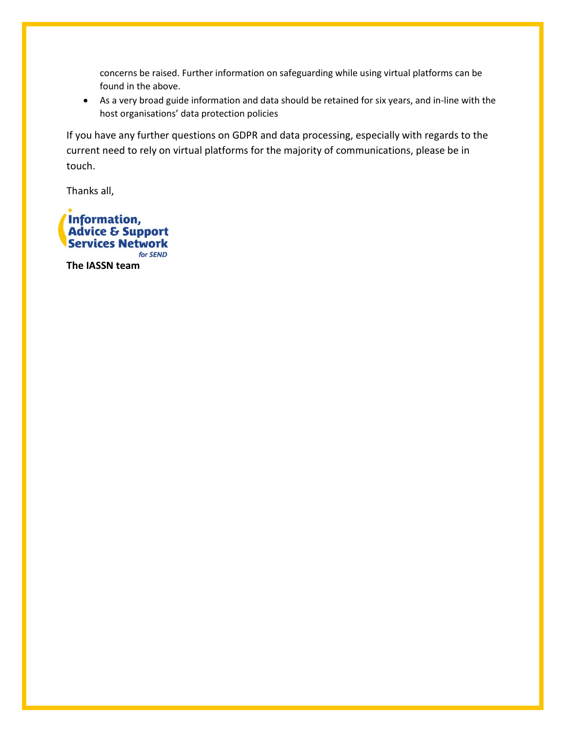concerns be raised. Further information on safeguarding while using virtual platforms can be found in the above.

 As a very broad guide information and data should be retained for six years, and in-line with the host organisations' data protection policies

If you have any further questions on GDPR and data processing, especially with regards to the current need to rely on virtual platforms for the majority of communications, please be in touch.

Thanks all,

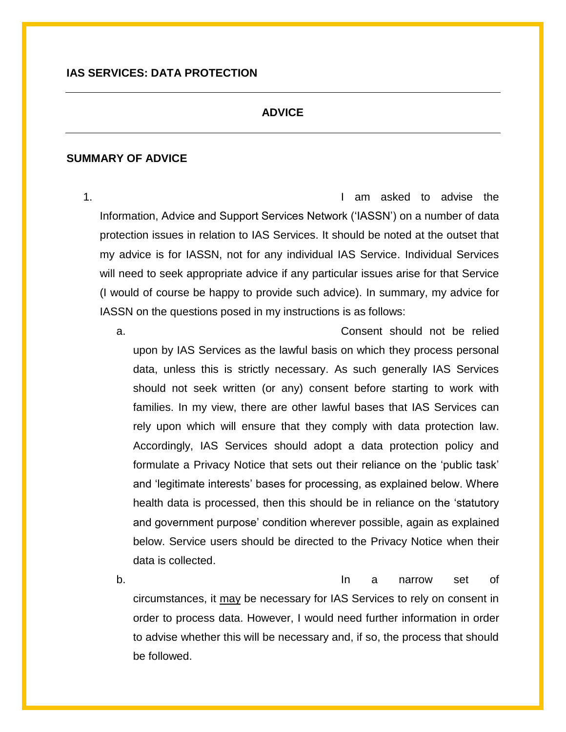# **ADVICE**

# **SUMMARY OF ADVICE**

1. I am asked to advise the Information, Advice and Support Services Network ('IASSN') on a number of data protection issues in relation to IAS Services. It should be noted at the outset that my advice is for IASSN, not for any individual IAS Service. Individual Services will need to seek appropriate advice if any particular issues arise for that Service (I would of course be happy to provide such advice). In summary, my advice for IASSN on the questions posed in my instructions is as follows:

a. Consent should not be relied upon by IAS Services as the lawful basis on which they process personal data, unless this is strictly necessary. As such generally IAS Services should not seek written (or any) consent before starting to work with families. In my view, there are other lawful bases that IAS Services can rely upon which will ensure that they comply with data protection law. Accordingly, IAS Services should adopt a data protection policy and formulate a Privacy Notice that sets out their reliance on the 'public task' and 'legitimate interests' bases for processing, as explained below. Where health data is processed, then this should be in reliance on the 'statutory and government purpose' condition wherever possible, again as explained below. Service users should be directed to the Privacy Notice when their data is collected.

b. In a narrow set of circumstances, it may be necessary for IAS Services to rely on consent in order to process data. However, I would need further information in order to advise whether this will be necessary and, if so, the process that should be followed.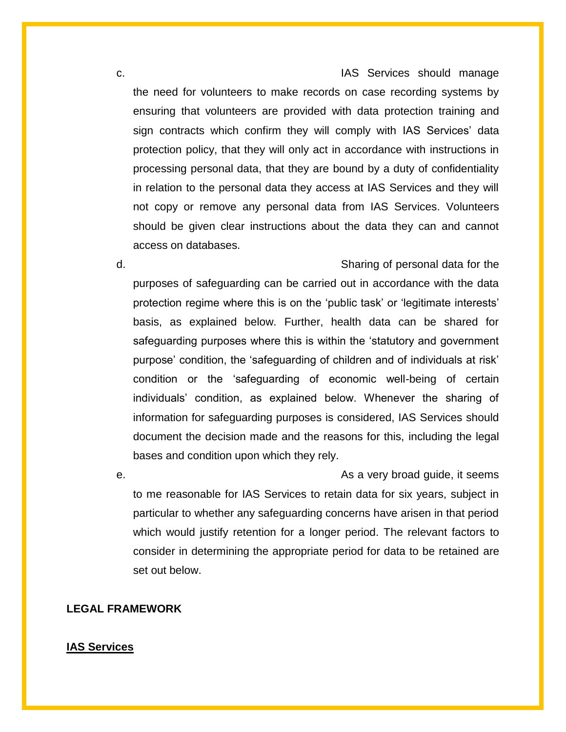c. **IAS Services should manage** the need for volunteers to make records on case recording systems by ensuring that volunteers are provided with data protection training and sign contracts which confirm they will comply with IAS Services' data protection policy, that they will only act in accordance with instructions in processing personal data, that they are bound by a duty of confidentiality in relation to the personal data they access at IAS Services and they will not copy or remove any personal data from IAS Services. Volunteers should be given clear instructions about the data they can and cannot access on databases.

d. Sharing of personal data for the purposes of safeguarding can be carried out in accordance with the data protection regime where this is on the 'public task' or 'legitimate interests' basis, as explained below. Further, health data can be shared for safeguarding purposes where this is within the 'statutory and government purpose' condition, the 'safeguarding of children and of individuals at risk' condition or the 'safeguarding of economic well-being of certain individuals' condition, as explained below. Whenever the sharing of information for safeguarding purposes is considered, IAS Services should document the decision made and the reasons for this, including the legal bases and condition upon which they rely.

e. As a very broad guide, it seems example a set of the set of the set of the set of the set of the set of the set of the set of the set of the set of the set of the set of the set of the set of the set of the set of the s to me reasonable for IAS Services to retain data for six years, subject in particular to whether any safeguarding concerns have arisen in that period which would justify retention for a longer period. The relevant factors to consider in determining the appropriate period for data to be retained are set out below.

#### **LEGAL FRAMEWORK**

### **IAS Services**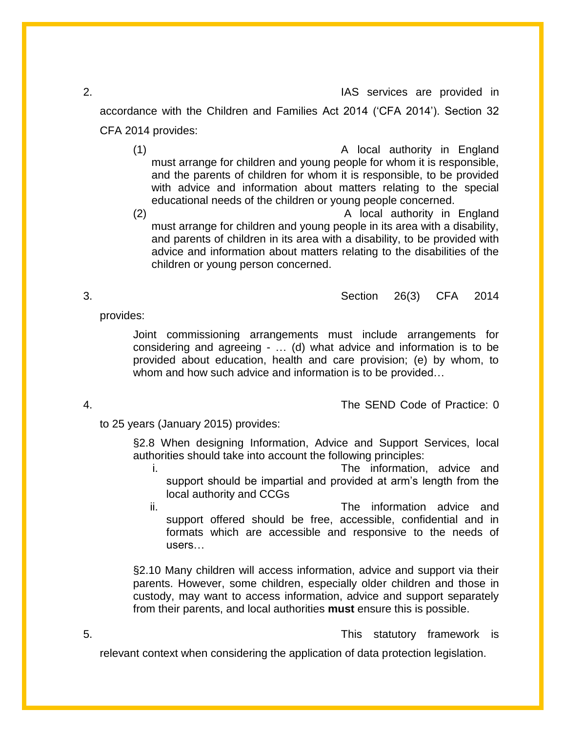2. IAS services are provided in

accordance with the Children and Families Act 2014 ('CFA 2014'). Section 32 CFA 2014 provides:

- (1) A local authority in England must arrange for children and young people for whom it is responsible, and the parents of children for whom it is responsible, to be provided with advice and information about matters relating to the special educational needs of the children or young people concerned.
- (2) A local authority in England must arrange for children and young people in its area with a disability, and parents of children in its area with a disability, to be provided with advice and information about matters relating to the disabilities of the children or young person concerned.

3. Section 26(3) CFA 2014

provides:

Joint commissioning arrangements must include arrangements for considering and agreeing - … (d) what advice and information is to be provided about education, health and care provision; (e) by whom, to whom and how such advice and information is to be provided…

4. The SEND Code of Practice: 0

to 25 years (January 2015) provides:

§2.8 When designing Information, Advice and Support Services, local authorities should take into account the following principles:

- i. The information, advice and support should be impartial and provided at arm's length from the local authority and CCGs
- ii. The information advice and support offered should be free, accessible, confidential and in formats which are accessible and responsive to the needs of users…

§2.10 Many children will access information, advice and support via their parents. However, some children, especially older children and those in custody, may want to access information, advice and support separately from their parents, and local authorities **must** ensure this is possible.

5. This statutory framework is

relevant context when considering the application of data protection legislation.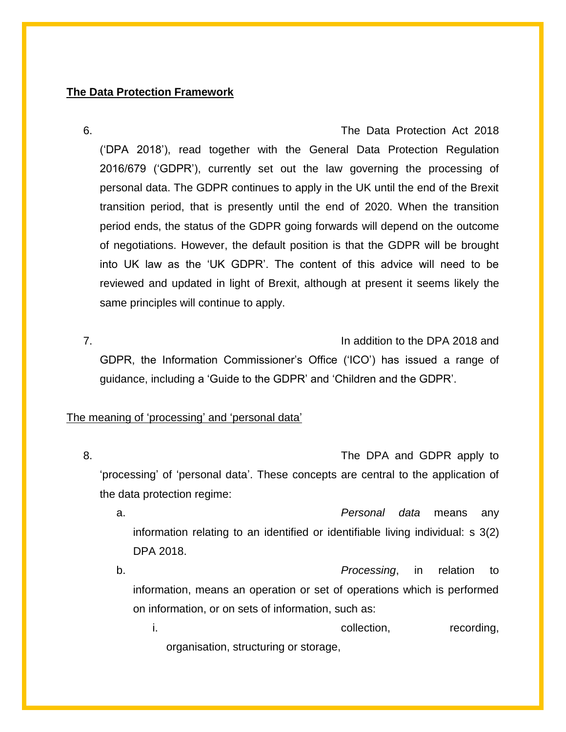### **The Data Protection Framework**

# 6. The Data Protection Act 2018

('DPA 2018'), read together with the General Data Protection Regulation 2016/679 ('GDPR'), currently set out the law governing the processing of personal data. The GDPR continues to apply in the UK until the end of the Brexit transition period, that is presently until the end of 2020. When the transition period ends, the status of the GDPR going forwards will depend on the outcome of negotiations. However, the default position is that the GDPR will be brought into UK law as the 'UK GDPR'. The content of this advice will need to be reviewed and updated in light of Brexit, although at present it seems likely the same principles will continue to apply.

7. In addition to the DPA 2018 and GDPR, the Information Commissioner's Office ('ICO') has issued a range of guidance, including a 'Guide to the GDPR' and 'Children and the GDPR'.

# The meaning of 'processing' and 'personal data'

- 8. The DPA and GDPR apply to 'processing' of 'personal data'. These concepts are central to the application of the data protection regime:
	- a. *Personal data* means any information relating to an identified or identifiable living individual: s 3(2) DPA 2018.

b. *Processing*, in relation to information, means an operation or set of operations which is performed on information, or on sets of information, such as:

i. The collection, the collection of the condition of the condition of the condition, the condition of the condition,  $\alpha$ organisation, structuring or storage,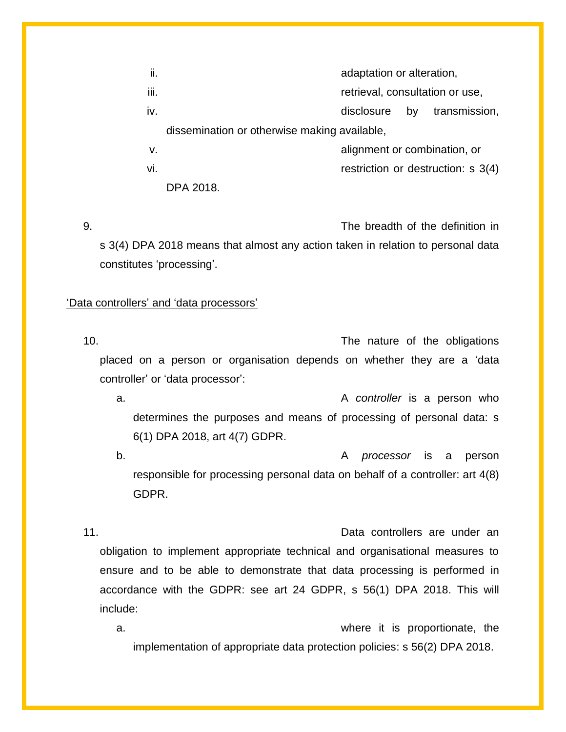| ii.  |                                              | adaptation or alteration,                 |  |
|------|----------------------------------------------|-------------------------------------------|--|
| iii. |                                              | retrieval, consultation or use,           |  |
| iv.  | disclosure<br>bv                             | transmission,                             |  |
|      | dissemination or otherwise making available, |                                           |  |
| V.   |                                              | alignment or combination, or              |  |
| vi.  |                                              | restriction or destruction: $\sigma$ 3(4) |  |
|      |                                              |                                           |  |

DPA 2018.

9. The breadth of the definition in s 3(4) DPA 2018 means that almost any action taken in relation to personal data constitutes 'processing'.

# 'Data controllers' and 'data processors'

10. The nature of the obligations placed on a person or organisation depends on whether they are a 'data controller' or 'data processor':

a. A *controller* is a person who determines the purposes and means of processing of personal data: s 6(1) DPA 2018, art 4(7) GDPR.

b. A *processor* is a person responsible for processing personal data on behalf of a controller: art 4(8) GDPR.

11. Data controllers are under an obligation to implement appropriate technical and organisational measures to ensure and to be able to demonstrate that data processing is performed in accordance with the GDPR: see art 24 GDPR, s 56(1) DPA 2018. This will include:

a. where it is proportionate, the implementation of appropriate data protection policies: s 56(2) DPA 2018.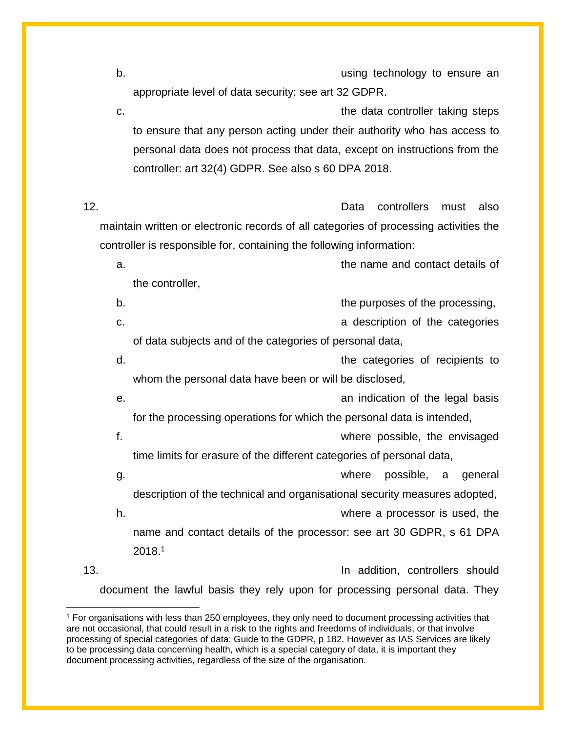b. b. the contract of the contract of the using technology to ensure an  $\mathbf{u}$ appropriate level of data security: see art 32 GDPR.

c. The data controller taking steps of the data controller taking steps to ensure that any person acting under their authority who has access to personal data does not process that data, except on instructions from the controller: art 32(4) GDPR. See also s 60 DPA 2018.

12. Data controllers must also maintain written or electronic records of all categories of processing activities the controller is responsible for, containing the following information:

a. the name and contact details of the controller,

b. the purposes of the processing,

c. a description of the categories of data subjects and of the categories of personal data,

- d. the categories of recipients to whom the personal data have been or will be disclosed,
- e. **and indication of the legal basis** basis and indication of the legal basis for the processing operations for which the personal data is intended,
- f. where possible, the envisaged

time limits for erasure of the different categories of personal data,

g. where possible, a general description of the technical and organisational security measures adopted, h. where a processor is used, the

name and contact details of the processor: see art 30 GDPR, s 61 DPA 2018.<sup>1</sup>

13. In addition, controllers should document the lawful basis they rely upon for processing personal data. They

l

<sup>1</sup> For organisations with less than 250 employees, they only need to document processing activities that are not occasional, that could result in a risk to the rights and freedoms of individuals, or that involve processing of special categories of data: Guide to the GDPR, p 182. However as IAS Services are likely to be processing data concerning health, which is a special category of data, it is important they document processing activities, regardless of the size of the organisation.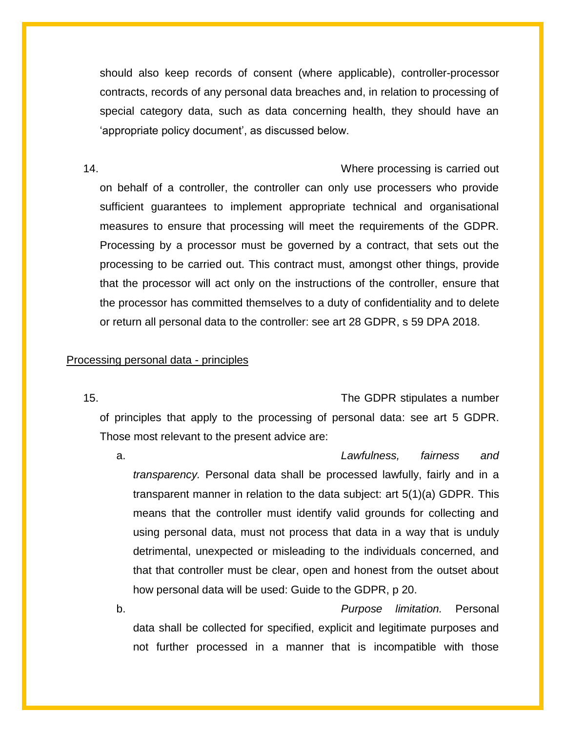should also keep records of consent (where applicable), controller-processor contracts, records of any personal data breaches and, in relation to processing of special category data, such as data concerning health, they should have an 'appropriate policy document', as discussed below.

14. Where processing is carried out on behalf of a controller, the controller can only use processers who provide sufficient guarantees to implement appropriate technical and organisational measures to ensure that processing will meet the requirements of the GDPR. Processing by a processor must be governed by a contract, that sets out the processing to be carried out. This contract must, amongst other things, provide that the processor will act only on the instructions of the controller, ensure that the processor has committed themselves to a duty of confidentiality and to delete or return all personal data to the controller: see art 28 GDPR, s 59 DPA 2018.

#### Processing personal data - principles

15. The GDPR stipulates a number of principles that apply to the processing of personal data: see art 5 GDPR. Those most relevant to the present advice are:

a. *Lawfulness, fairness and transparency.* Personal data shall be processed lawfully, fairly and in a transparent manner in relation to the data subject: art 5(1)(a) GDPR. This means that the controller must identify valid grounds for collecting and using personal data, must not process that data in a way that is unduly detrimental, unexpected or misleading to the individuals concerned, and that that controller must be clear, open and honest from the outset about how personal data will be used: Guide to the GDPR, p 20.

b. *Purpose limitation.* Personal data shall be collected for specified, explicit and legitimate purposes and not further processed in a manner that is incompatible with those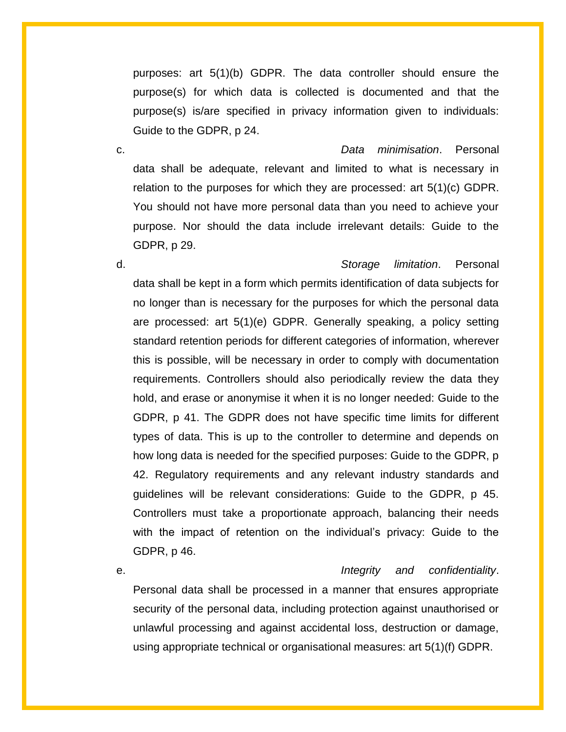purposes: art 5(1)(b) GDPR. The data controller should ensure the purpose(s) for which data is collected is documented and that the purpose(s) is/are specified in privacy information given to individuals: Guide to the GDPR, p 24.

c. *Data minimisation*. Personal data shall be adequate, relevant and limited to what is necessary in relation to the purposes for which they are processed: art 5(1)(c) GDPR. You should not have more personal data than you need to achieve your purpose. Nor should the data include irrelevant details: Guide to the GDPR, p 29.

d. *Storage limitation*. Personal data shall be kept in a form which permits identification of data subjects for no longer than is necessary for the purposes for which the personal data are processed: art 5(1)(e) GDPR. Generally speaking, a policy setting standard retention periods for different categories of information, wherever this is possible, will be necessary in order to comply with documentation requirements. Controllers should also periodically review the data they hold, and erase or anonymise it when it is no longer needed: Guide to the GDPR, p 41. The GDPR does not have specific time limits for different types of data. This is up to the controller to determine and depends on how long data is needed for the specified purposes: Guide to the GDPR, p 42. Regulatory requirements and any relevant industry standards and guidelines will be relevant considerations: Guide to the GDPR, p 45. Controllers must take a proportionate approach, balancing their needs with the impact of retention on the individual's privacy: Guide to the GDPR, p 46.

e. *Integrity and confidentiality*.

Personal data shall be processed in a manner that ensures appropriate security of the personal data, including protection against unauthorised or unlawful processing and against accidental loss, destruction or damage, using appropriate technical or organisational measures: art 5(1)(f) GDPR.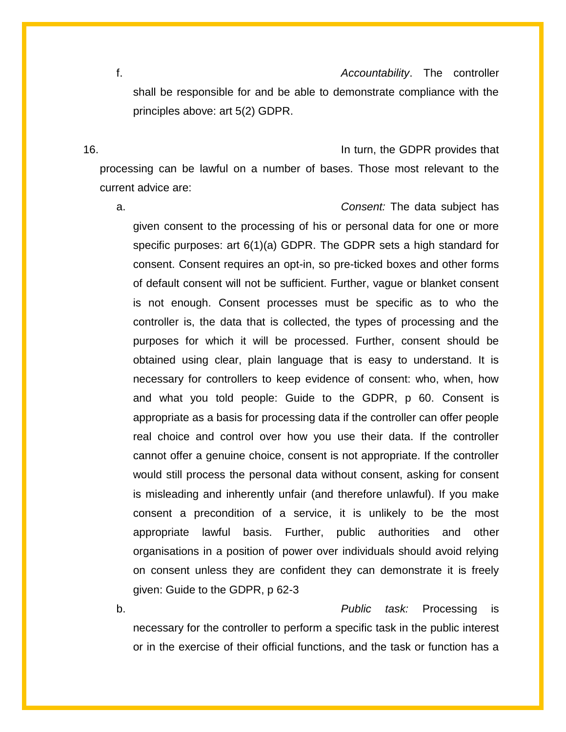f. *Accountability*. The controller shall be responsible for and be able to demonstrate compliance with the

16. In turn, the GDPR provides that processing can be lawful on a number of bases. Those most relevant to the current advice are:

principles above: art 5(2) GDPR.

a. *Consent:* The data subject has given consent to the processing of his or personal data for one or more specific purposes: art 6(1)(a) GDPR. The GDPR sets a high standard for consent. Consent requires an opt-in, so pre-ticked boxes and other forms of default consent will not be sufficient. Further, vague or blanket consent is not enough. Consent processes must be specific as to who the controller is, the data that is collected, the types of processing and the purposes for which it will be processed. Further, consent should be obtained using clear, plain language that is easy to understand. It is necessary for controllers to keep evidence of consent: who, when, how and what you told people: Guide to the GDPR, p 60. Consent is appropriate as a basis for processing data if the controller can offer people real choice and control over how you use their data. If the controller cannot offer a genuine choice, consent is not appropriate. If the controller would still process the personal data without consent, asking for consent is misleading and inherently unfair (and therefore unlawful). If you make consent a precondition of a service, it is unlikely to be the most appropriate lawful basis. Further, public authorities and other organisations in a position of power over individuals should avoid relying on consent unless they are confident they can demonstrate it is freely given: Guide to the GDPR, p 62-3

b. *Public task:* Processing is necessary for the controller to perform a specific task in the public interest or in the exercise of their official functions, and the task or function has a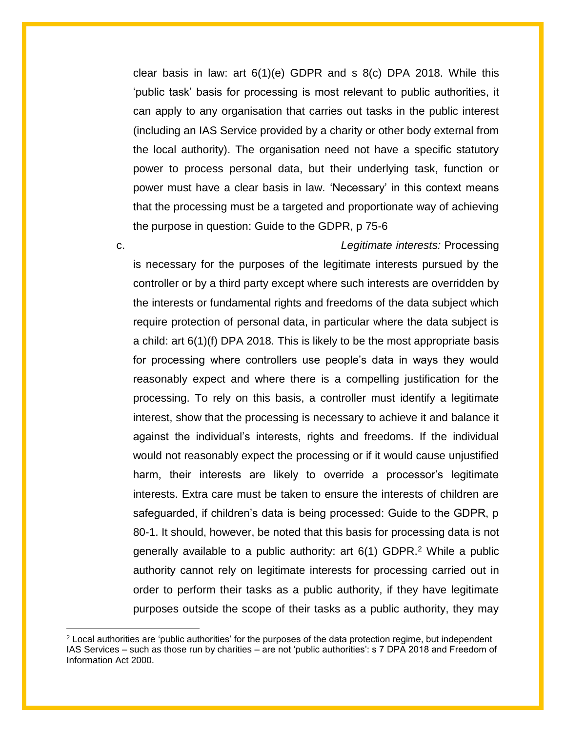clear basis in law: art  $6(1)(e)$  GDPR and s  $8(c)$  DPA 2018. While this 'public task' basis for processing is most relevant to public authorities, it can apply to any organisation that carries out tasks in the public interest (including an IAS Service provided by a charity or other body external from the local authority). The organisation need not have a specific statutory power to process personal data, but their underlying task, function or power must have a clear basis in law. 'Necessary' in this context means that the processing must be a targeted and proportionate way of achieving the purpose in question: Guide to the GDPR, p 75-6

 $\overline{\phantom{a}}$ 

c. *Legitimate interests:* Processing

is necessary for the purposes of the legitimate interests pursued by the controller or by a third party except where such interests are overridden by the interests or fundamental rights and freedoms of the data subject which require protection of personal data, in particular where the data subject is a child: art 6(1)(f) DPA 2018. This is likely to be the most appropriate basis for processing where controllers use people's data in ways they would reasonably expect and where there is a compelling justification for the processing. To rely on this basis, a controller must identify a legitimate interest, show that the processing is necessary to achieve it and balance it against the individual's interests, rights and freedoms. If the individual would not reasonably expect the processing or if it would cause unjustified harm, their interests are likely to override a processor's legitimate interests. Extra care must be taken to ensure the interests of children are safeguarded, if children's data is being processed: Guide to the GDPR, p 80-1. It should, however, be noted that this basis for processing data is not generally available to a public authority: art  $6(1)$  GDPR.<sup>2</sup> While a public authority cannot rely on legitimate interests for processing carried out in order to perform their tasks as a public authority, if they have legitimate purposes outside the scope of their tasks as a public authority, they may

<sup>&</sup>lt;sup>2</sup> Local authorities are 'public authorities' for the purposes of the data protection regime, but independent IAS Services – such as those run by charities – are not 'public authorities': s 7 DPA 2018 and Freedom of Information Act 2000.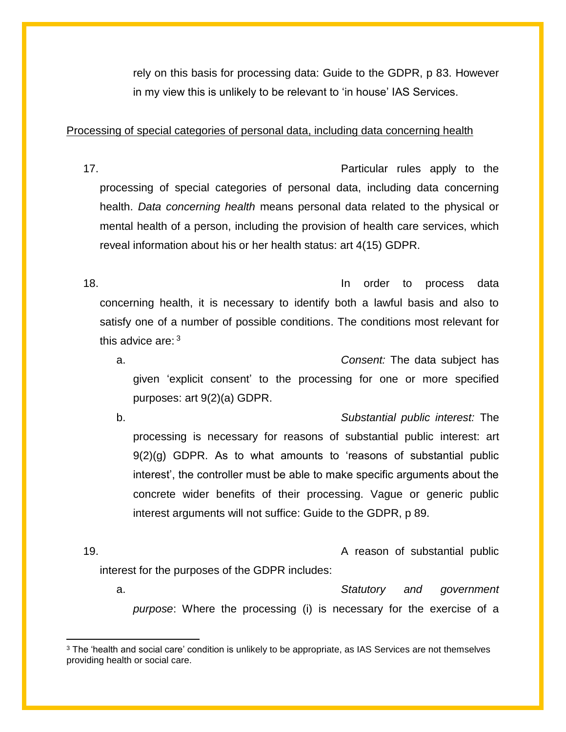rely on this basis for processing data: Guide to the GDPR, p 83. However in my view this is unlikely to be relevant to 'in house' IAS Services.

# Processing of special categories of personal data, including data concerning health

17. Particular rules apply to the processing of special categories of personal data, including data concerning health. *Data concerning health* means personal data related to the physical or mental health of a person, including the provision of health care services, which reveal information about his or her health status: art 4(15) GDPR.

18. In order to process data concerning health, it is necessary to identify both a lawful basis and also to satisfy one of a number of possible conditions. The conditions most relevant for this advice are: 3

a. *Consent:* The data subject has given 'explicit consent' to the processing for one or more specified purposes: art 9(2)(a) GDPR.

b. *Substantial public interest:* The processing is necessary for reasons of substantial public interest: art 9(2)(g) GDPR. As to what amounts to 'reasons of substantial public interest', the controller must be able to make specific arguments about the concrete wider benefits of their processing. Vague or generic public interest arguments will not suffice: Guide to the GDPR, p 89.

19. A reason of substantial public interest for the purposes of the GDPR includes:

a. *Statutory and government purpose*: Where the processing (i) is necessary for the exercise of a

 $\overline{a}$ 

<sup>&</sup>lt;sup>3</sup> The 'health and social care' condition is unlikely to be appropriate, as IAS Services are not themselves providing health or social care.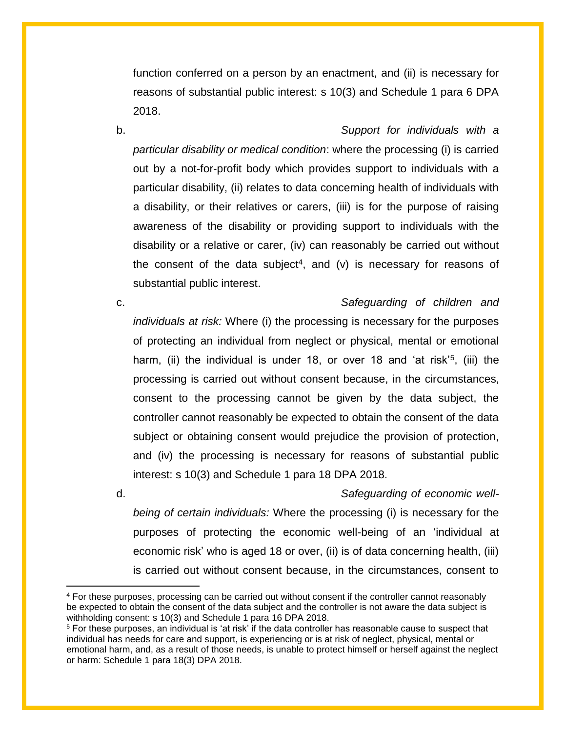function conferred on a person by an enactment, and (ii) is necessary for reasons of substantial public interest: s 10(3) and Schedule 1 para 6 DPA 2018.

b. *Support for individuals with a* 

*particular disability or medical condition*: where the processing (i) is carried out by a not-for-profit body which provides support to individuals with a particular disability, (ii) relates to data concerning health of individuals with a disability, or their relatives or carers, (iii) is for the purpose of raising awareness of the disability or providing support to individuals with the disability or a relative or carer, (iv) can reasonably be carried out without the consent of the data subject<sup>4</sup>, and  $(v)$  is necessary for reasons of substantial public interest.

c. *Safeguarding of children and individuals at risk:* Where (i) the processing is necessary for the purposes of protecting an individual from neglect or physical, mental or emotional harm, (ii) the individual is under 18, or over 18 and 'at risk'<sup>5</sup>, (iii) the processing is carried out without consent because, in the circumstances, consent to the processing cannot be given by the data subject, the controller cannot reasonably be expected to obtain the consent of the data subject or obtaining consent would prejudice the provision of protection, and (iv) the processing is necessary for reasons of substantial public interest: s 10(3) and Schedule 1 para 18 DPA 2018.

 $\overline{\phantom{a}}$ 

d. *Safeguarding of economic well-*

*being of certain individuals:* Where the processing (i) is necessary for the purposes of protecting the economic well-being of an 'individual at economic risk' who is aged 18 or over, (ii) is of data concerning health, (iii) is carried out without consent because, in the circumstances, consent to

<sup>4</sup> For these purposes, processing can be carried out without consent if the controller cannot reasonably be expected to obtain the consent of the data subject and the controller is not aware the data subject is withholding consent: s 10(3) and Schedule 1 para 16 DPA 2018.

<sup>5</sup> For these purposes, an individual is 'at risk' if the data controller has reasonable cause to suspect that individual has needs for care and support, is experiencing or is at risk of neglect, physical, mental or emotional harm, and, as a result of those needs, is unable to protect himself or herself against the neglect or harm: Schedule 1 para 18(3) DPA 2018.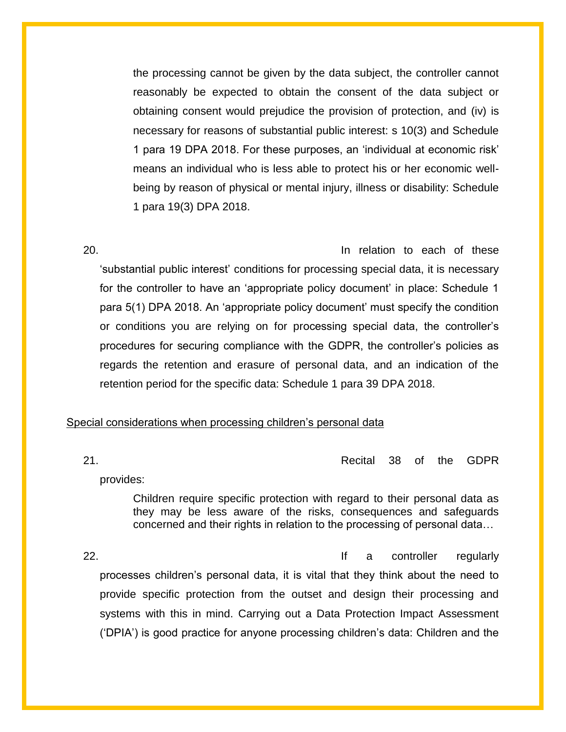the processing cannot be given by the data subject, the controller cannot reasonably be expected to obtain the consent of the data subject or obtaining consent would prejudice the provision of protection, and (iv) is necessary for reasons of substantial public interest: s 10(3) and Schedule 1 para 19 DPA 2018. For these purposes, an 'individual at economic risk' means an individual who is less able to protect his or her economic wellbeing by reason of physical or mental injury, illness or disability: Schedule 1 para 19(3) DPA 2018.

20. In relation to each of these 'substantial public interest' conditions for processing special data, it is necessary for the controller to have an 'appropriate policy document' in place: Schedule 1 para 5(1) DPA 2018. An 'appropriate policy document' must specify the condition or conditions you are relying on for processing special data, the controller's procedures for securing compliance with the GDPR, the controller's policies as regards the retention and erasure of personal data, and an indication of the retention period for the specific data: Schedule 1 para 39 DPA 2018.

### Special considerations when processing children's personal data

21. Recital 38 of the GDPR

provides:

Children require specific protection with regard to their personal data as they may be less aware of the risks, consequences and safeguards concerned and their rights in relation to the processing of personal data…

22. **If a controller regularly** processes children's personal data, it is vital that they think about the need to provide specific protection from the outset and design their processing and systems with this in mind. Carrying out a Data Protection Impact Assessment ('DPIA') is good practice for anyone processing children's data: Children and the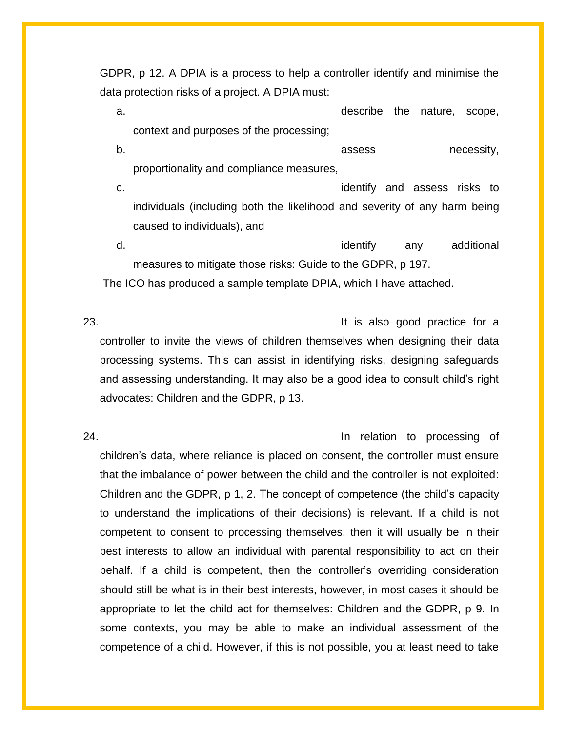GDPR, p 12. A DPIA is a process to help a controller identify and minimise the data protection risks of a project. A DPIA must:

a. describe the nature, scope, context and purposes of the processing;

b. **b.** assess necessity, proportionality and compliance measures,

c. identify and assess risks to individuals (including both the likelihood and severity of any harm being caused to individuals), and

d. **identify** any additional measures to mitigate those risks: Guide to the GDPR, p 197.

The ICO has produced a sample template DPIA, which I have attached.

23. It is also good practice for a controller to invite the views of children themselves when designing their data processing systems. This can assist in identifying risks, designing safeguards and assessing understanding. It may also be a good idea to consult child's right advocates: Children and the GDPR, p 13.

24. In relation to processing of children's data, where reliance is placed on consent, the controller must ensure that the imbalance of power between the child and the controller is not exploited: Children and the GDPR, p 1, 2. The concept of competence (the child's capacity to understand the implications of their decisions) is relevant. If a child is not competent to consent to processing themselves, then it will usually be in their best interests to allow an individual with parental responsibility to act on their behalf. If a child is competent, then the controller's overriding consideration should still be what is in their best interests, however, in most cases it should be appropriate to let the child act for themselves: Children and the GDPR, p 9. In some contexts, you may be able to make an individual assessment of the competence of a child. However, if this is not possible, you at least need to take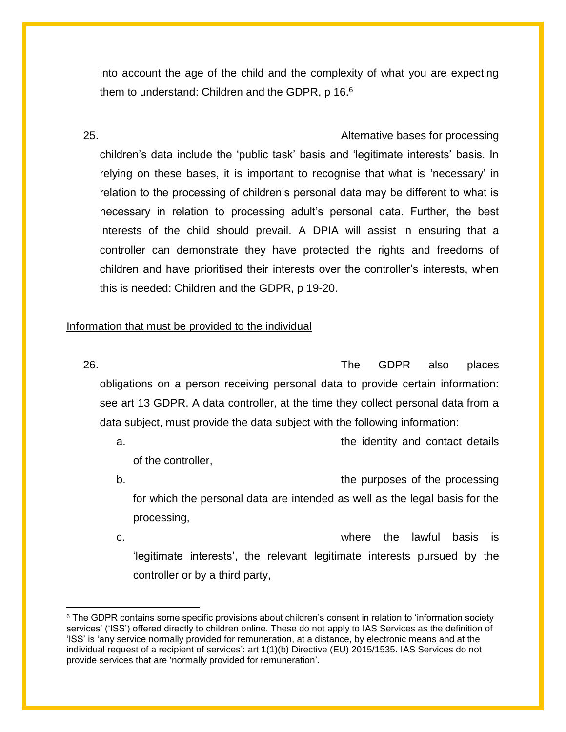into account the age of the child and the complexity of what you are expecting them to understand: Children and the GDPR, p 16.<sup>6</sup>

25. Alternative bases for processing children's data include the 'public task' basis and 'legitimate interests' basis. In relying on these bases, it is important to recognise that what is 'necessary' in relation to the processing of children's personal data may be different to what is necessary in relation to processing adult's personal data. Further, the best interests of the child should prevail. A DPIA will assist in ensuring that a controller can demonstrate they have protected the rights and freedoms of children and have prioritised their interests over the controller's interests, when this is needed: Children and the GDPR, p 19-20.

#### Information that must be provided to the individual

l

26. The GDPR also places obligations on a person receiving personal data to provide certain information: see art 13 GDPR. A data controller, at the time they collect personal data from a data subject, must provide the data subject with the following information:

a. the identity and contact details of the controller,

- b. the purposes of the processing for which the personal data are intended as well as the legal basis for the processing,
- c. where the lawful basis is 'legitimate interests', the relevant legitimate interests pursued by the controller or by a third party,

<sup>&</sup>lt;sup>6</sup> The GDPR contains some specific provisions about children's consent in relation to 'information society services' ('ISS') offered directly to children online. These do not apply to IAS Services as the definition of 'ISS' is 'any service normally provided for remuneration, at a distance, by electronic means and at the individual request of a recipient of services': art 1(1)(b) Directive (EU) 2015/1535. IAS Services do not provide services that are 'normally provided for remuneration'.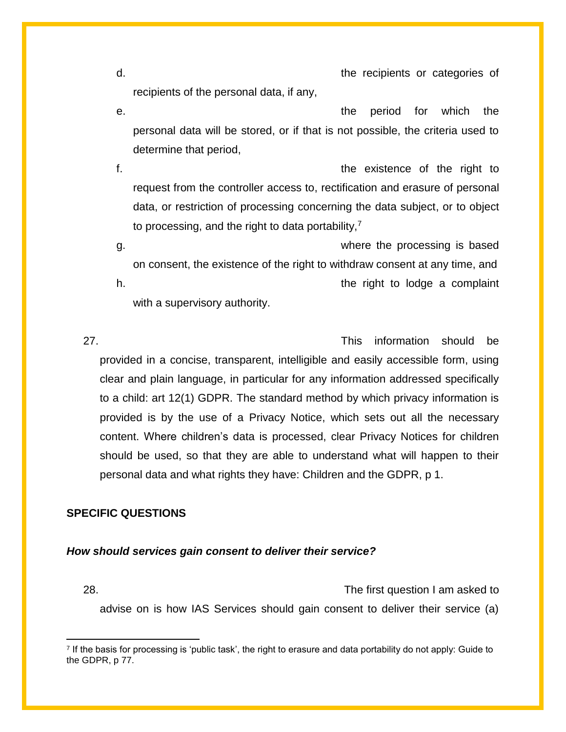d. the recipients or categories of recipients of the personal data, if any,

e. the period for which the personal data will be stored, or if that is not possible, the criteria used to determine that period,

f. The existence of the right to request from the controller access to, rectification and erasure of personal data, or restriction of processing concerning the data subject, or to object to processing, and the right to data portability, $<sup>7</sup>$ </sup>

g. where the processing is based on consent, the existence of the right to withdraw consent at any time, and h. the right to lodge a complaint with a supervisory authority.

27. This information should be provided in a concise, transparent, intelligible and easily accessible form, using clear and plain language, in particular for any information addressed specifically to a child: art 12(1) GDPR. The standard method by which privacy information is provided is by the use of a Privacy Notice, which sets out all the necessary content. Where children's data is processed, clear Privacy Notices for children should be used, so that they are able to understand what will happen to their personal data and what rights they have: Children and the GDPR, p 1.

# **SPECIFIC QUESTIONS**

 $\overline{a}$ 

#### *How should services gain consent to deliver their service?*

28. The first question I am asked to advise on is how IAS Services should gain consent to deliver their service (a)

<sup>7</sup> If the basis for processing is 'public task', the right to erasure and data portability do not apply: Guide to the GDPR, p 77.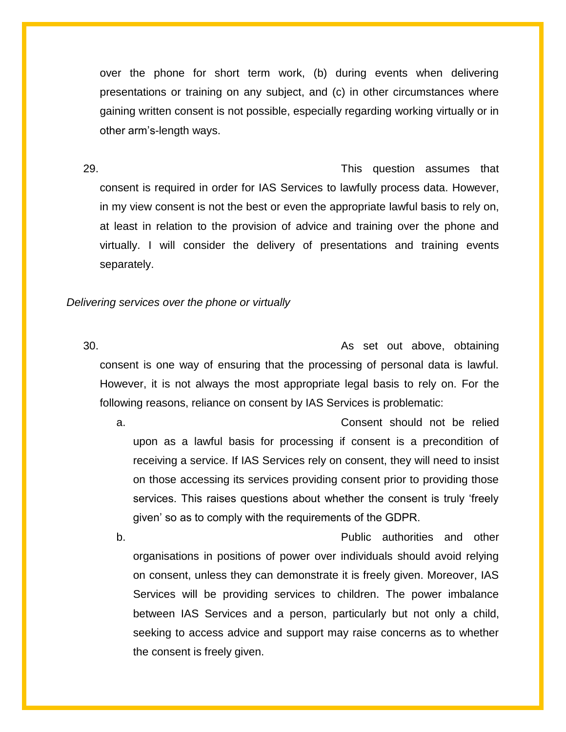over the phone for short term work, (b) during events when delivering presentations or training on any subject, and (c) in other circumstances where gaining written consent is not possible, especially regarding working virtually or in other arm's-length ways.

29. This question assumes that consent is required in order for IAS Services to lawfully process data. However, in my view consent is not the best or even the appropriate lawful basis to rely on, at least in relation to the provision of advice and training over the phone and virtually. I will consider the delivery of presentations and training events separately.

#### *Delivering services over the phone or virtually*

30. As set out above, obtaining consent is one way of ensuring that the processing of personal data is lawful. However, it is not always the most appropriate legal basis to rely on. For the following reasons, reliance on consent by IAS Services is problematic:

a. Consent should not be relied upon as a lawful basis for processing if consent is a precondition of receiving a service. If IAS Services rely on consent, they will need to insist on those accessing its services providing consent prior to providing those services. This raises questions about whether the consent is truly 'freely given' so as to comply with the requirements of the GDPR.

b. Public authorities and other organisations in positions of power over individuals should avoid relying on consent, unless they can demonstrate it is freely given. Moreover, IAS Services will be providing services to children. The power imbalance between IAS Services and a person, particularly but not only a child, seeking to access advice and support may raise concerns as to whether the consent is freely given.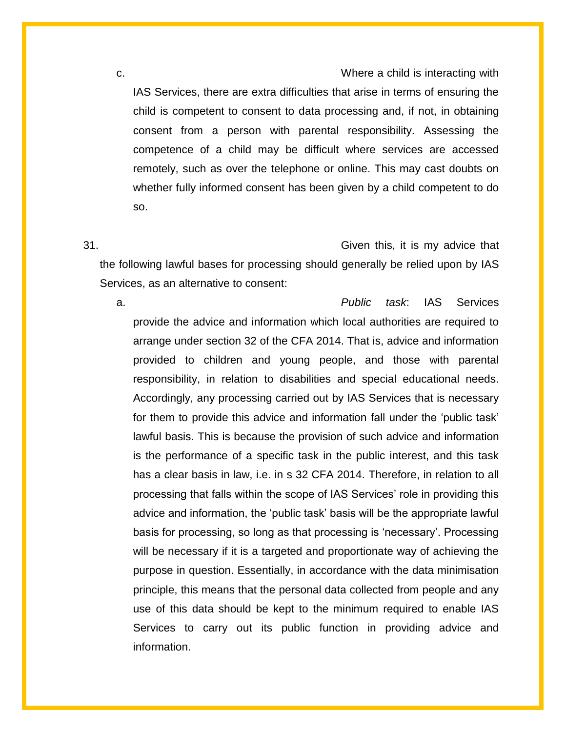c. Where a child is interacting with

IAS Services, there are extra difficulties that arise in terms of ensuring the child is competent to consent to data processing and, if not, in obtaining consent from a person with parental responsibility. Assessing the competence of a child may be difficult where services are accessed remotely, such as over the telephone or online. This may cast doubts on whether fully informed consent has been given by a child competent to do so.

31. Given this, it is my advice that

the following lawful bases for processing should generally be relied upon by IAS Services, as an alternative to consent:

a. *Public task*: IAS Services provide the advice and information which local authorities are required to arrange under section 32 of the CFA 2014. That is, advice and information provided to children and young people, and those with parental responsibility, in relation to disabilities and special educational needs. Accordingly, any processing carried out by IAS Services that is necessary for them to provide this advice and information fall under the 'public task' lawful basis. This is because the provision of such advice and information is the performance of a specific task in the public interest, and this task has a clear basis in law, i.e. in s 32 CFA 2014. Therefore, in relation to all processing that falls within the scope of IAS Services' role in providing this advice and information, the 'public task' basis will be the appropriate lawful basis for processing, so long as that processing is 'necessary'. Processing will be necessary if it is a targeted and proportionate way of achieving the purpose in question. Essentially, in accordance with the data minimisation principle, this means that the personal data collected from people and any use of this data should be kept to the minimum required to enable IAS Services to carry out its public function in providing advice and information.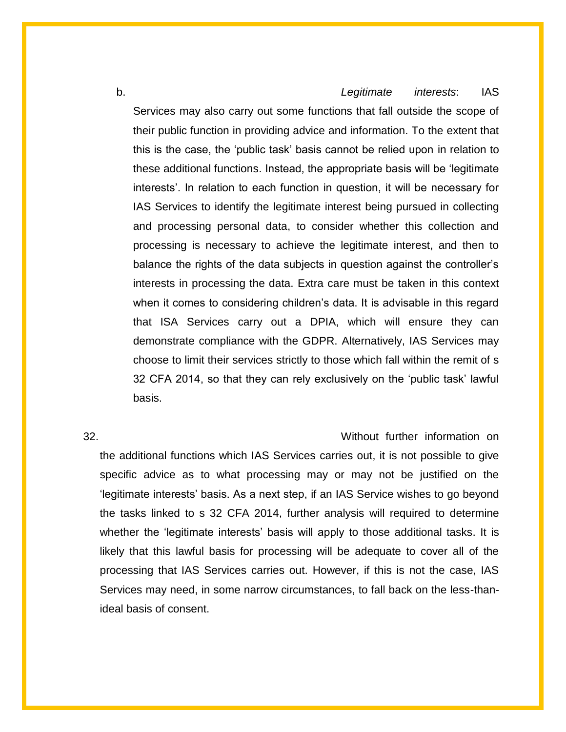# b. *Legitimate interests*: IAS

Services may also carry out some functions that fall outside the scope of their public function in providing advice and information. To the extent that this is the case, the 'public task' basis cannot be relied upon in relation to these additional functions. Instead, the appropriate basis will be 'legitimate interests'. In relation to each function in question, it will be necessary for IAS Services to identify the legitimate interest being pursued in collecting and processing personal data, to consider whether this collection and processing is necessary to achieve the legitimate interest, and then to balance the rights of the data subjects in question against the controller's interests in processing the data. Extra care must be taken in this context when it comes to considering children's data. It is advisable in this regard that ISA Services carry out a DPIA, which will ensure they can demonstrate compliance with the GDPR. Alternatively, IAS Services may choose to limit their services strictly to those which fall within the remit of s 32 CFA 2014, so that they can rely exclusively on the 'public task' lawful basis.

32. Without further information on

the additional functions which IAS Services carries out, it is not possible to give specific advice as to what processing may or may not be justified on the 'legitimate interests' basis. As a next step, if an IAS Service wishes to go beyond the tasks linked to s 32 CFA 2014, further analysis will required to determine whether the 'legitimate interests' basis will apply to those additional tasks. It is likely that this lawful basis for processing will be adequate to cover all of the processing that IAS Services carries out. However, if this is not the case, IAS Services may need, in some narrow circumstances, to fall back on the less-thanideal basis of consent.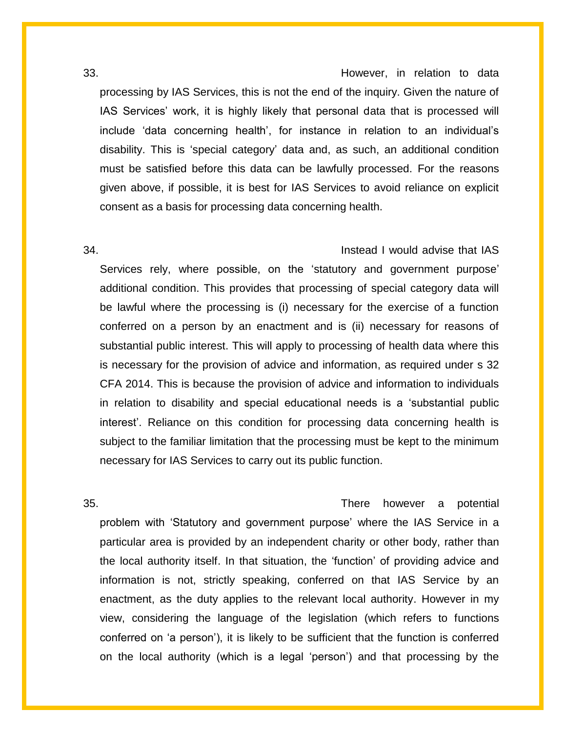# 33. However, in relation to data

processing by IAS Services, this is not the end of the inquiry. Given the nature of IAS Services' work, it is highly likely that personal data that is processed will include 'data concerning health', for instance in relation to an individual's disability. This is 'special category' data and, as such, an additional condition must be satisfied before this data can be lawfully processed. For the reasons given above, if possible, it is best for IAS Services to avoid reliance on explicit consent as a basis for processing data concerning health.

# 34. Instead I would advise that IAS

Services rely, where possible, on the 'statutory and government purpose' additional condition. This provides that processing of special category data will be lawful where the processing is (i) necessary for the exercise of a function conferred on a person by an enactment and is (ii) necessary for reasons of substantial public interest. This will apply to processing of health data where this is necessary for the provision of advice and information, as required under s 32 CFA 2014. This is because the provision of advice and information to individuals in relation to disability and special educational needs is a 'substantial public interest'. Reliance on this condition for processing data concerning health is subject to the familiar limitation that the processing must be kept to the minimum necessary for IAS Services to carry out its public function.

35. There however a potential problem with 'Statutory and government purpose' where the IAS Service in a particular area is provided by an independent charity or other body, rather than the local authority itself. In that situation, the 'function' of providing advice and information is not, strictly speaking, conferred on that IAS Service by an enactment, as the duty applies to the relevant local authority. However in my view, considering the language of the legislation (which refers to functions conferred on 'a person'), it is likely to be sufficient that the function is conferred on the local authority (which is a legal 'person') and that processing by the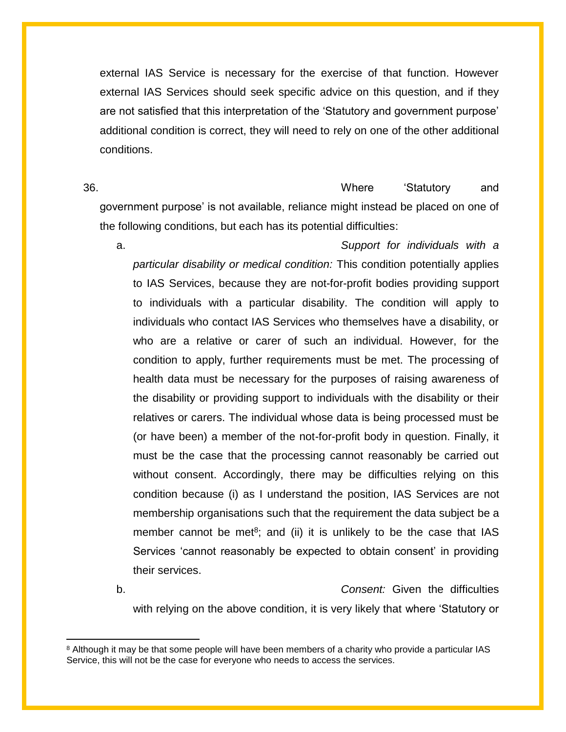external IAS Service is necessary for the exercise of that function. However external IAS Services should seek specific advice on this question, and if they are not satisfied that this interpretation of the 'Statutory and government purpose' additional condition is correct, they will need to rely on one of the other additional conditions.

36. Where 'Statutory and government purpose' is not available, reliance might instead be placed on one of the following conditions, but each has its potential difficulties:

a. *Support for individuals with a particular disability or medical condition:* This condition potentially applies to IAS Services, because they are not-for-profit bodies providing support to individuals with a particular disability. The condition will apply to individuals who contact IAS Services who themselves have a disability, or who are a relative or carer of such an individual. However, for the condition to apply, further requirements must be met. The processing of health data must be necessary for the purposes of raising awareness of the disability or providing support to individuals with the disability or their relatives or carers. The individual whose data is being processed must be (or have been) a member of the not-for-profit body in question. Finally, it must be the case that the processing cannot reasonably be carried out without consent. Accordingly, there may be difficulties relying on this condition because (i) as I understand the position, IAS Services are not membership organisations such that the requirement the data subject be a member cannot be met<sup>8</sup>; and (ii) it is unlikely to be the case that IAS Services 'cannot reasonably be expected to obtain consent' in providing their services.

 $\overline{a}$ 

b. *Consent:* Given the difficulties with relying on the above condition, it is very likely that where 'Statutory or

<sup>&</sup>lt;sup>8</sup> Although it may be that some people will have been members of a charity who provide a particular IAS Service, this will not be the case for everyone who needs to access the services.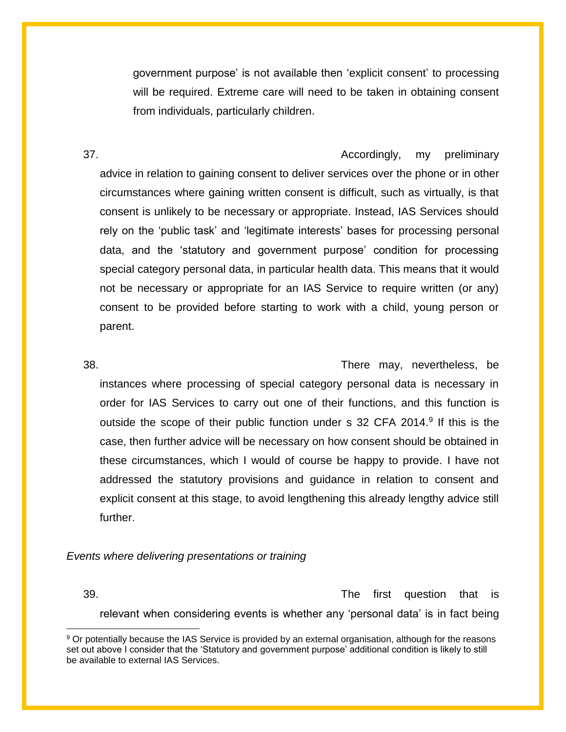government purpose' is not available then 'explicit consent' to processing will be required. Extreme care will need to be taken in obtaining consent from individuals, particularly children.

37. Accordingly, my preliminary advice in relation to gaining consent to deliver services over the phone or in other circumstances where gaining written consent is difficult, such as virtually, is that consent is unlikely to be necessary or appropriate. Instead, IAS Services should rely on the 'public task' and 'legitimate interests' bases for processing personal data, and the 'statutory and government purpose' condition for processing special category personal data, in particular health data. This means that it would not be necessary or appropriate for an IAS Service to require written (or any) consent to be provided before starting to work with a child, young person or parent.

38. There may, nevertheless, be instances where processing of special category personal data is necessary in order for IAS Services to carry out one of their functions, and this function is outside the scope of their public function under s 32 CFA 2014.<sup>9</sup> If this is the case, then further advice will be necessary on how consent should be obtained in these circumstances, which I would of course be happy to provide. I have not addressed the statutory provisions and guidance in relation to consent and explicit consent at this stage, to avoid lengthening this already lengthy advice still further.

#### *Events where delivering presentations or training*

 $\overline{\phantom{a}}$ 

39. The first question that is relevant when considering events is whether any 'personal data' is in fact being

<sup>9</sup> Or potentially because the IAS Service is provided by an external organisation, although for the reasons set out above I consider that the 'Statutory and government purpose' additional condition is likely to still be available to external IAS Services.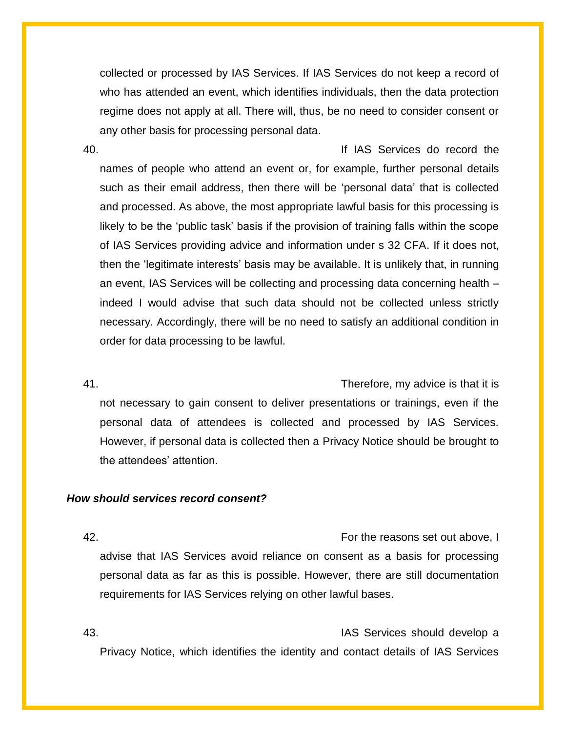collected or processed by IAS Services. If IAS Services do not keep a record of who has attended an event, which identifies individuals, then the data protection regime does not apply at all. There will, thus, be no need to consider consent or any other basis for processing personal data.

40. If IAS Services do record the names of people who attend an event or, for example, further personal details such as their email address, then there will be 'personal data' that is collected and processed. As above, the most appropriate lawful basis for this processing is likely to be the 'public task' basis if the provision of training falls within the scope of IAS Services providing advice and information under s 32 CFA. If it does not, then the 'legitimate interests' basis may be available. It is unlikely that, in running an event, IAS Services will be collecting and processing data concerning health – indeed I would advise that such data should not be collected unless strictly necessary. Accordingly, there will be no need to satisfy an additional condition in order for data processing to be lawful.

41. Therefore, my advice is that it is not necessary to gain consent to deliver presentations or trainings, even if the personal data of attendees is collected and processed by IAS Services. However, if personal data is collected then a Privacy Notice should be brought to the attendees' attention.

# *How should services record consent?*

42. For the reasons set out above, I advise that IAS Services avoid reliance on consent as a basis for processing personal data as far as this is possible. However, there are still documentation requirements for IAS Services relying on other lawful bases.

43. IAS Services should develop a Privacy Notice, which identifies the identity and contact details of IAS Services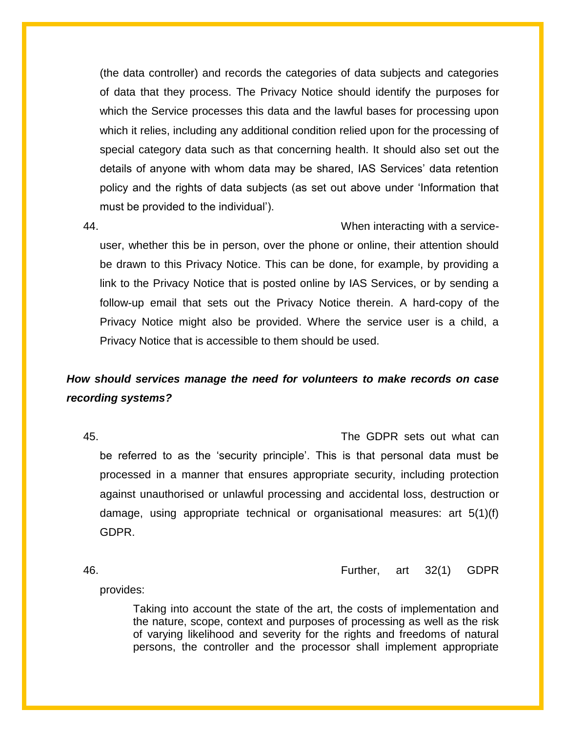(the data controller) and records the categories of data subjects and categories of data that they process. The Privacy Notice should identify the purposes for which the Service processes this data and the lawful bases for processing upon which it relies, including any additional condition relied upon for the processing of special category data such as that concerning health. It should also set out the details of anyone with whom data may be shared, IAS Services' data retention policy and the rights of data subjects (as set out above under 'Information that must be provided to the individual').

44. When interacting with a serviceuser, whether this be in person, over the phone or online, their attention should be drawn to this Privacy Notice. This can be done, for example, by providing a link to the Privacy Notice that is posted online by IAS Services, or by sending a follow-up email that sets out the Privacy Notice therein. A hard-copy of the Privacy Notice might also be provided. Where the service user is a child, a Privacy Notice that is accessible to them should be used.

# *How should services manage the need for volunteers to make records on case recording systems?*

45. The GDPR sets out what can be referred to as the 'security principle'. This is that personal data must be processed in a manner that ensures appropriate security, including protection against unauthorised or unlawful processing and accidental loss, destruction or damage, using appropriate technical or organisational measures: art 5(1)(f) GDPR.

46. Further, art 32(1) GDPR

provides:

Taking into account the state of the art, the costs of implementation and the nature, scope, context and purposes of processing as well as the risk of varying likelihood and severity for the rights and freedoms of natural persons, the controller and the processor shall implement appropriate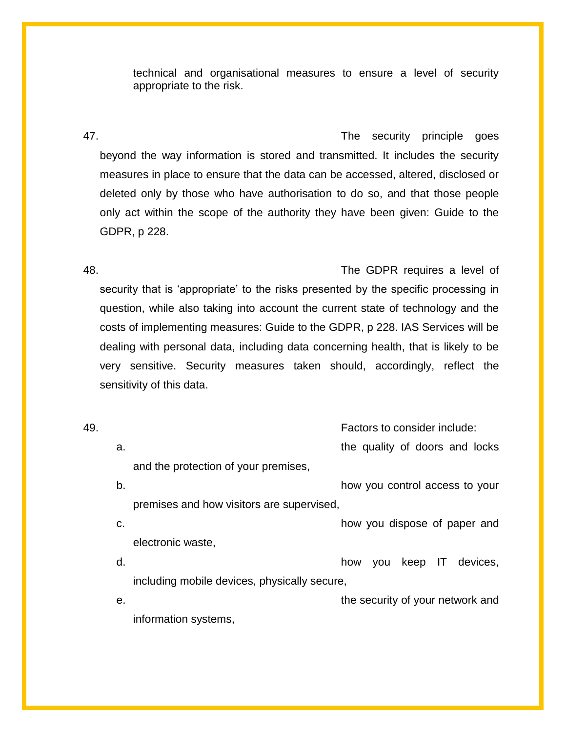technical and organisational measures to ensure a level of security appropriate to the risk.

47. The security principle goes beyond the way information is stored and transmitted. It includes the security measures in place to ensure that the data can be accessed, altered, disclosed or deleted only by those who have authorisation to do so, and that those people only act within the scope of the authority they have been given: Guide to the GDPR, p 228.

48. The GDPR requires a level of security that is 'appropriate' to the risks presented by the specific processing in question, while also taking into account the current state of technology and the costs of implementing measures: Guide to the GDPR, p 228. IAS Services will be dealing with personal data, including data concerning health, that is likely to be very sensitive. Security measures taken should, accordingly, reflect the sensitivity of this data.

| 49. |                                              | Factors to consider include:                              |
|-----|----------------------------------------------|-----------------------------------------------------------|
| a.  |                                              | the quality of doors and locks                            |
|     | and the protection of your premises,         |                                                           |
| b.  |                                              | how you control access to your                            |
|     | premises and how visitors are supervised,    |                                                           |
| C.  |                                              | how you dispose of paper and                              |
|     | electronic waste,                            |                                                           |
| d.  |                                              | devices.<br>keep<br>$\overline{\mathsf{I}}$<br>how<br>you |
|     | including mobile devices, physically secure, |                                                           |
| е.  |                                              | the security of your network and                          |
|     | information systems,                         |                                                           |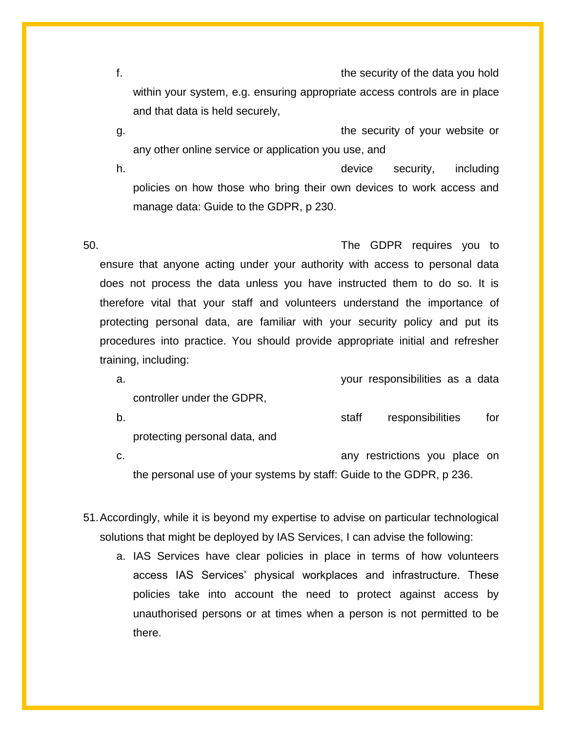f. the security of the data you hold within your system, e.g. ensuring appropriate access controls are in place and that data is held securely,

g. The security of your website or any other online service or application you use, and

h. device security, including policies on how those who bring their own devices to work access and manage data: Guide to the GDPR, p 230.

50. The GDPR requires you to ensure that anyone acting under your authority with access to personal data does not process the data unless you have instructed them to do so. It is therefore vital that your staff and volunteers understand the importance of protecting personal data, are familiar with your security policy and put its procedures into practice. You should provide appropriate initial and refresher training, including:

a. your responsibilities as a data controller under the GDPR,

b. staff responsibilities for protecting personal data, and

c. any restrictions you place on the personal use of your systems by staff: Guide to the GDPR, p 236.

51.Accordingly, while it is beyond my expertise to advise on particular technological solutions that might be deployed by IAS Services, I can advise the following:

a. IAS Services have clear policies in place in terms of how volunteers access IAS Services' physical workplaces and infrastructure. These policies take into account the need to protect against access by unauthorised persons or at times when a person is not permitted to be there.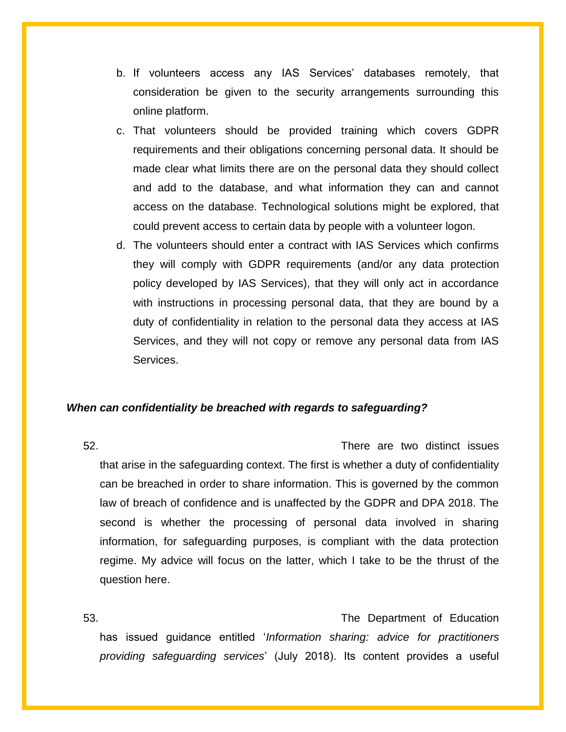- b. If volunteers access any IAS Services' databases remotely, that consideration be given to the security arrangements surrounding this online platform.
- c. That volunteers should be provided training which covers GDPR requirements and their obligations concerning personal data. It should be made clear what limits there are on the personal data they should collect and add to the database, and what information they can and cannot access on the database. Technological solutions might be explored, that could prevent access to certain data by people with a volunteer logon.
- d. The volunteers should enter a contract with IAS Services which confirms they will comply with GDPR requirements (and/or any data protection policy developed by IAS Services), that they will only act in accordance with instructions in processing personal data, that they are bound by a duty of confidentiality in relation to the personal data they access at IAS Services, and they will not copy or remove any personal data from IAS Services.

### *When can confidentiality be breached with regards to safeguarding?*

52. There are two distinct issues that arise in the safeguarding context. The first is whether a duty of confidentiality can be breached in order to share information. This is governed by the common law of breach of confidence and is unaffected by the GDPR and DPA 2018. The second is whether the processing of personal data involved in sharing information, for safeguarding purposes, is compliant with the data protection regime. My advice will focus on the latter, which I take to be the thrust of the question here.

53. The Department of Education has issued guidance entitled '*Information sharing: advice for practitioners providing safeguarding services*' (July 2018). Its content provides a useful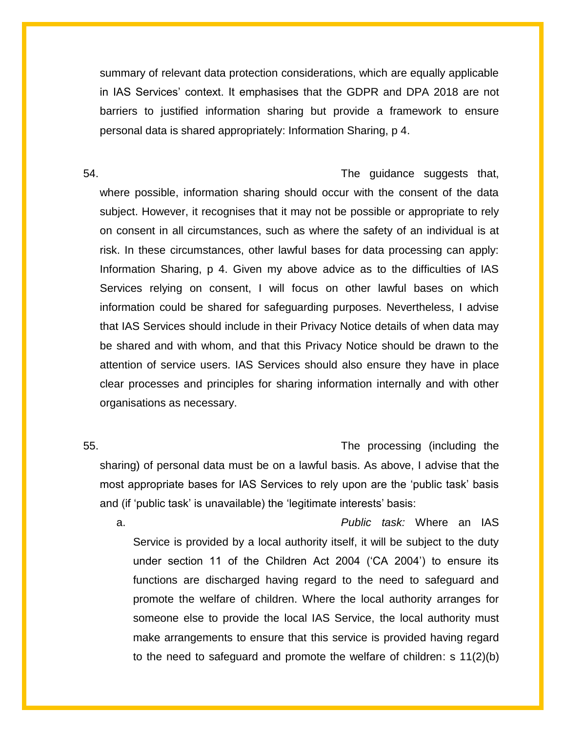summary of relevant data protection considerations, which are equally applicable in IAS Services' context. It emphasises that the GDPR and DPA 2018 are not barriers to justified information sharing but provide a framework to ensure personal data is shared appropriately: Information Sharing, p 4.

54. The guidance suggests that, where possible, information sharing should occur with the consent of the data subject. However, it recognises that it may not be possible or appropriate to rely on consent in all circumstances, such as where the safety of an individual is at risk. In these circumstances, other lawful bases for data processing can apply: Information Sharing, p 4. Given my above advice as to the difficulties of IAS Services relying on consent, I will focus on other lawful bases on which information could be shared for safeguarding purposes. Nevertheless, I advise that IAS Services should include in their Privacy Notice details of when data may be shared and with whom, and that this Privacy Notice should be drawn to the attention of service users. IAS Services should also ensure they have in place clear processes and principles for sharing information internally and with other organisations as necessary.

55. The processing (including the sharing) of personal data must be on a lawful basis. As above, I advise that the most appropriate bases for IAS Services to rely upon are the 'public task' basis and (if 'public task' is unavailable) the 'legitimate interests' basis:

a. *Public task:* Where an IAS Service is provided by a local authority itself, it will be subject to the duty under section 11 of the Children Act 2004 ('CA 2004') to ensure its functions are discharged having regard to the need to safeguard and promote the welfare of children. Where the local authority arranges for someone else to provide the local IAS Service, the local authority must make arrangements to ensure that this service is provided having regard to the need to safeguard and promote the welfare of children: s 11(2)(b)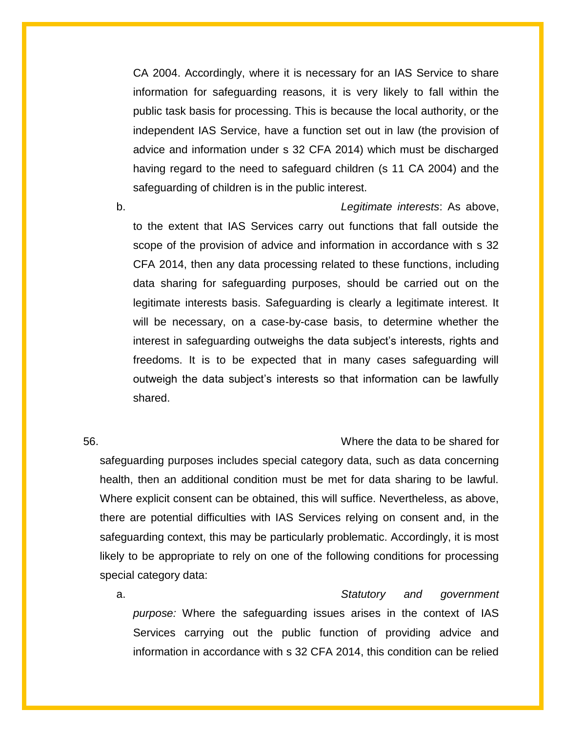CA 2004. Accordingly, where it is necessary for an IAS Service to share information for safeguarding reasons, it is very likely to fall within the public task basis for processing. This is because the local authority, or the independent IAS Service, have a function set out in law (the provision of advice and information under s 32 CFA 2014) which must be discharged having regard to the need to safeguard children (s 11 CA 2004) and the safeguarding of children is in the public interest.

# b. *Legitimate interests*: As above, to the extent that IAS Services carry out functions that fall outside the scope of the provision of advice and information in accordance with s 32 CFA 2014, then any data processing related to these functions, including data sharing for safeguarding purposes, should be carried out on the legitimate interests basis. Safeguarding is clearly a legitimate interest. It will be necessary, on a case-by-case basis, to determine whether the interest in safeguarding outweighs the data subject's interests, rights and

freedoms. It is to be expected that in many cases safeguarding will outweigh the data subject's interests so that information can be lawfully shared.

56. Where the data to be shared for safeguarding purposes includes special category data, such as data concerning health, then an additional condition must be met for data sharing to be lawful. Where explicit consent can be obtained, this will suffice. Nevertheless, as above, there are potential difficulties with IAS Services relying on consent and, in the safeguarding context, this may be particularly problematic. Accordingly, it is most likely to be appropriate to rely on one of the following conditions for processing special category data:

a. *Statutory and government purpose:* Where the safeguarding issues arises in the context of IAS Services carrying out the public function of providing advice and information in accordance with s 32 CFA 2014, this condition can be relied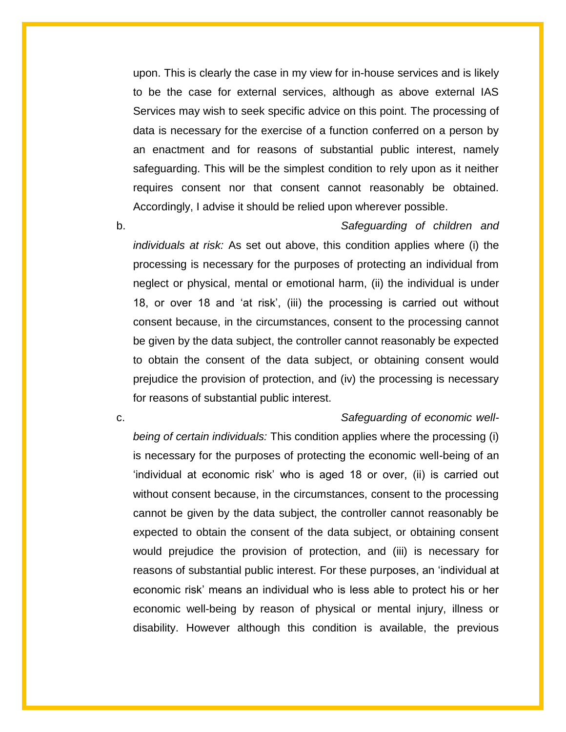upon. This is clearly the case in my view for in-house services and is likely to be the case for external services, although as above external IAS Services may wish to seek specific advice on this point. The processing of data is necessary for the exercise of a function conferred on a person by an enactment and for reasons of substantial public interest, namely safeguarding. This will be the simplest condition to rely upon as it neither requires consent nor that consent cannot reasonably be obtained. Accordingly, I advise it should be relied upon wherever possible.

# b. *Safeguarding of children and*

*individuals at risk:* As set out above, this condition applies where (i) the processing is necessary for the purposes of protecting an individual from neglect or physical, mental or emotional harm, (ii) the individual is under 18, or over 18 and 'at risk', (iii) the processing is carried out without consent because, in the circumstances, consent to the processing cannot be given by the data subject, the controller cannot reasonably be expected to obtain the consent of the data subject, or obtaining consent would prejudice the provision of protection, and (iv) the processing is necessary for reasons of substantial public interest.

# c. *Safeguarding of economic well-*

*being of certain individuals:* This condition applies where the processing (i) is necessary for the purposes of protecting the economic well-being of an 'individual at economic risk' who is aged 18 or over, (ii) is carried out without consent because, in the circumstances, consent to the processing cannot be given by the data subject, the controller cannot reasonably be expected to obtain the consent of the data subject, or obtaining consent would prejudice the provision of protection, and (iii) is necessary for reasons of substantial public interest. For these purposes, an 'individual at economic risk' means an individual who is less able to protect his or her economic well-being by reason of physical or mental injury, illness or disability. However although this condition is available, the previous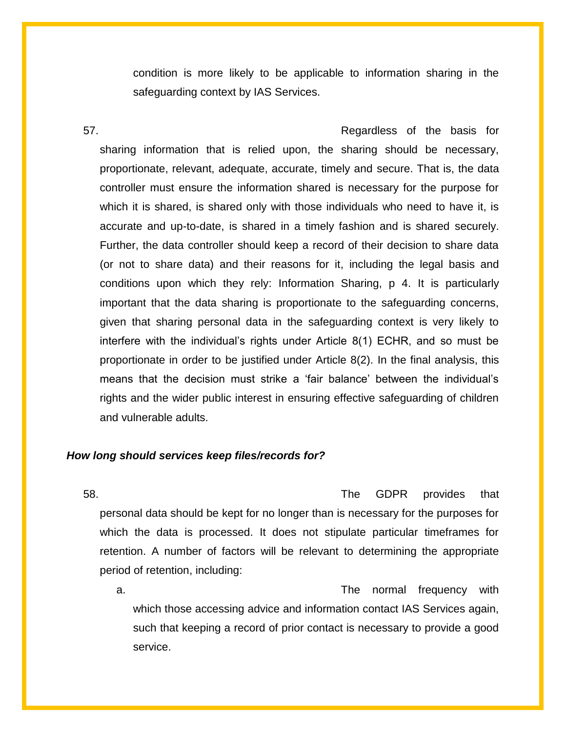condition is more likely to be applicable to information sharing in the safeguarding context by IAS Services.

57. Regardless of the basis for sharing information that is relied upon, the sharing should be necessary, proportionate, relevant, adequate, accurate, timely and secure. That is, the data controller must ensure the information shared is necessary for the purpose for which it is shared, is shared only with those individuals who need to have it, is accurate and up-to-date, is shared in a timely fashion and is shared securely. Further, the data controller should keep a record of their decision to share data (or not to share data) and their reasons for it, including the legal basis and conditions upon which they rely: Information Sharing, p 4. It is particularly important that the data sharing is proportionate to the safeguarding concerns, given that sharing personal data in the safeguarding context is very likely to interfere with the individual's rights under Article 8(1) ECHR, and so must be proportionate in order to be justified under Article 8(2). In the final analysis, this means that the decision must strike a 'fair balance' between the individual's rights and the wider public interest in ensuring effective safeguarding of children and vulnerable adults.

# *How long should services keep files/records for?*

58. The GDPR provides that personal data should be kept for no longer than is necessary for the purposes for which the data is processed. It does not stipulate particular timeframes for retention. A number of factors will be relevant to determining the appropriate period of retention, including:

a. The normal frequency with which those accessing advice and information contact IAS Services again, such that keeping a record of prior contact is necessary to provide a good service.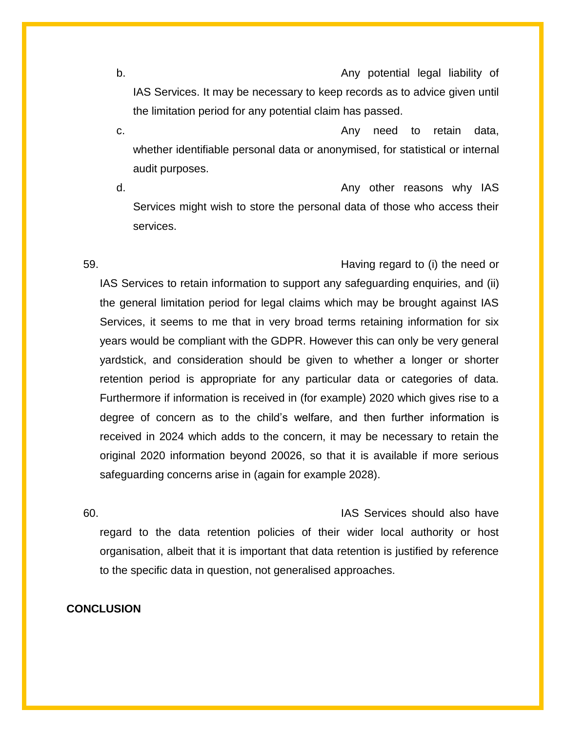b. Any potential legal liability of IAS Services. It may be necessary to keep records as to advice given until the limitation period for any potential claim has passed.

c. **Constructed** contracts and a constructed a construction of the metal of the metal of the metal of the metal of the metal of the metal of the metal of the metal of the metal of the metal of the metal of the metal of the whether identifiable personal data or anonymised, for statistical or internal audit purposes.

d. **Any other reasons why IAS** Services might wish to store the personal data of those who access their services.

59. Having regard to (i) the need or IAS Services to retain information to support any safeguarding enquiries, and (ii) the general limitation period for legal claims which may be brought against IAS Services, it seems to me that in very broad terms retaining information for six years would be compliant with the GDPR. However this can only be very general yardstick, and consideration should be given to whether a longer or shorter retention period is appropriate for any particular data or categories of data. Furthermore if information is received in (for example) 2020 which gives rise to a degree of concern as to the child's welfare, and then further information is received in 2024 which adds to the concern, it may be necessary to retain the original 2020 information beyond 20026, so that it is available if more serious safeguarding concerns arise in (again for example 2028).

60. IAS Services should also have regard to the data retention policies of their wider local authority or host organisation, albeit that it is important that data retention is justified by reference to the specific data in question, not generalised approaches.

# **CONCLUSION**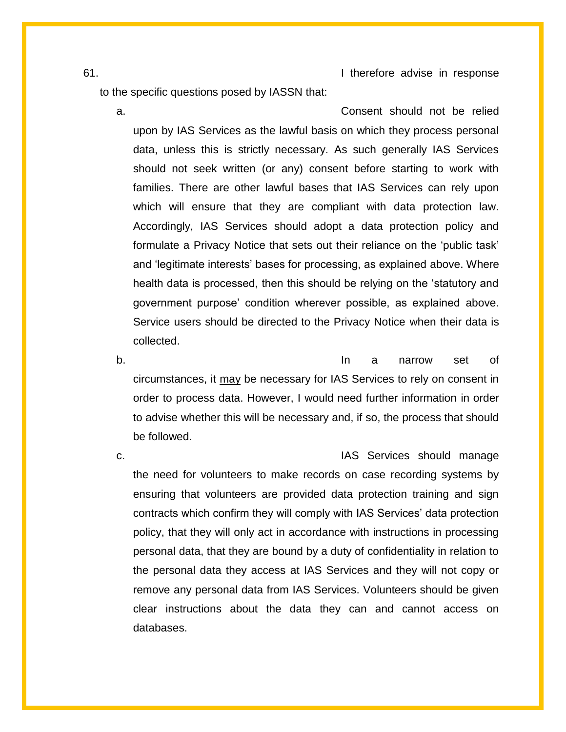61. I therefore advise in response

to the specific questions posed by IASSN that:

a. Consent should not be relied upon by IAS Services as the lawful basis on which they process personal data, unless this is strictly necessary. As such generally IAS Services should not seek written (or any) consent before starting to work with families. There are other lawful bases that IAS Services can rely upon which will ensure that they are compliant with data protection law. Accordingly, IAS Services should adopt a data protection policy and formulate a Privacy Notice that sets out their reliance on the 'public task' and 'legitimate interests' bases for processing, as explained above. Where health data is processed, then this should be relying on the 'statutory and government purpose' condition wherever possible, as explained above. Service users should be directed to the Privacy Notice when their data is collected.

b. In a narrow set of circumstances, it may be necessary for IAS Services to rely on consent in order to process data. However, I would need further information in order to advise whether this will be necessary and, if so, the process that should be followed.

c. **IAS Services should manage** the need for volunteers to make records on case recording systems by ensuring that volunteers are provided data protection training and sign contracts which confirm they will comply with IAS Services' data protection policy, that they will only act in accordance with instructions in processing personal data, that they are bound by a duty of confidentiality in relation to the personal data they access at IAS Services and they will not copy or remove any personal data from IAS Services. Volunteers should be given clear instructions about the data they can and cannot access on databases.